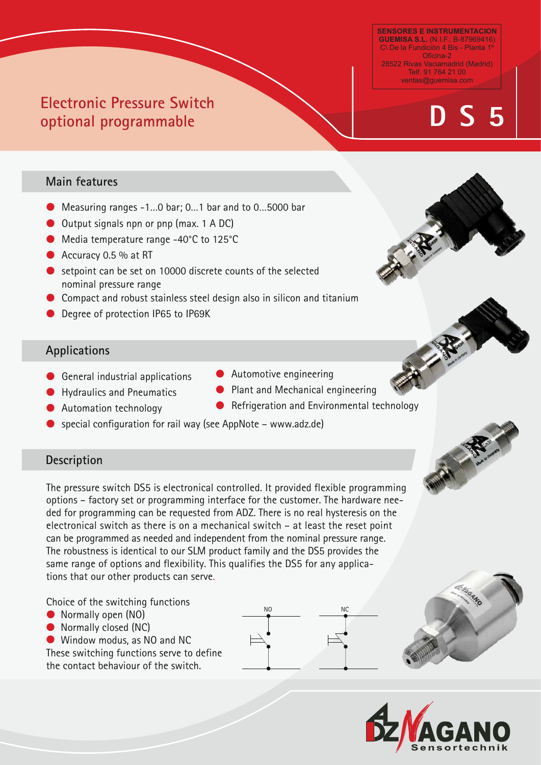#### **SENSORES E INSTRUMENTACION GUEMISA S.L.** (N.I.F.: B-87969416) C\ De la Fundición 4 Bis - Planta 1º Oficina-2 28522 Rivas Vaciamadrid (Madrid) Telf. 91 764 21 00 ventas@guemisa.com

# **EXECTIONIC PRESSURE SWITCH**<br> **EXECTIONIC PRESSURE SWITCH**

# **Electrical Configuration** Main features

- Measuring ranges -1...0 bar; 0...1 bar and to 0...5000 bar
- Output signals npn or pnp (max. 1 A DC)

**Electronic Pressure Switch** 

**optional programmable**

- Media temperature range -40°C to 125°C
- Accuracy 0.5 % at RT
- setpoint can be set on 10000 discrete counts of the selected nominal pressure range
- Compact and robust stainless steel design also in silicon and titanium
- Degree of protection IP65 to IP69K

# **Applications**

- General industrial applications Automotive engineering
- Hydraulics and Pneumatics Hydraulics and Pneumatics **Canadical Plant and Mechanical engineering**
- Automation technology
- special configuration for rail way (see AppNote www.adz.de)

# **Description**

The pressure switch DS5 is electronical controlled. It provided flexible programming options – factory set or programming interface for the customer. The hardware needed for programming can be requested from ADZ. There is no real hysteresis on the electronical switch as there is on a mechanical switch – at least the reset point can be programmed as needed and independent from the nominal pressure range. The robustness is identical to our SLM product family and the DS5 provides the same range of options and flexibility. This qualifies the DS5 for any applications that our other products can serve.

Choice of the switching functions

- Normally open (NO)
- Normally closed (NC)
- Window modus, as NO and NC

These switching functions serve to define the contact behaviour of the switch.







- Automotive engineering
- Automation technology and Construction and Environmental technology



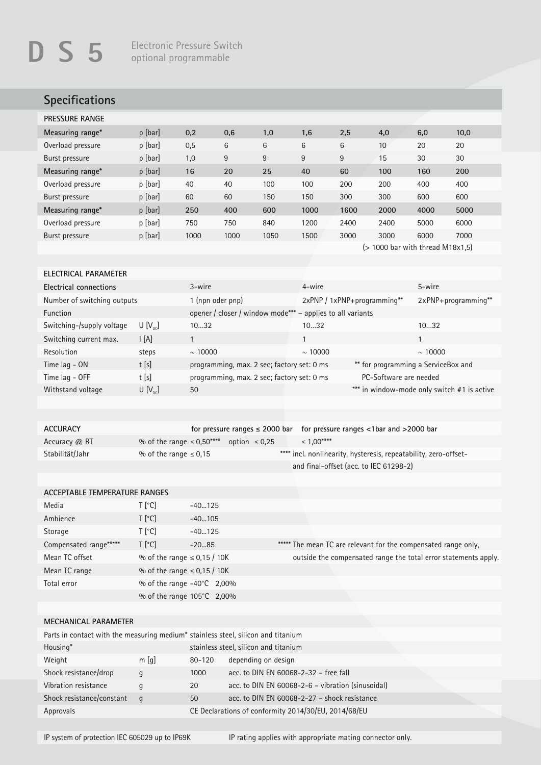# **Specifications**

| p [bar] | 0,2  | 0,6  | 1,0  | 1,6  | 2,5  | 4,0  | 6,0  | 10,0 |
|---------|------|------|------|------|------|------|------|------|
| p [bar] | 0,5  | 6    | 6    | 6    | 6    | 10   | 20   | 20   |
| p [bar] | 1,0  | 9    | 9    | 9    | 9    | 15   | 30   | 30   |
| p [bar] | 16   | 20   | 25   | 40   | 60   | 100  | 160  | 200  |
| p [bar] | 40   | 40   | 100  | 100  | 200  | 200  | 400  | 400  |
| p [bar] | 60   | 60   | 150  | 150  | 300  | 300  | 600  | 600  |
| p [bar] | 250  | 400  | 600  | 1000 | 1600 | 2000 | 4000 | 5000 |
| p [bar] | 750  | 750  | 840  | 1200 | 2400 | 2400 | 5000 | 6000 |
| p [bar] | 1000 | 1000 | 1050 | 1500 | 3000 | 3000 | 6000 | 7000 |
|         |      |      |      |      |      |      |      |      |

(> 1000 bar with thread M18x1,5)

#### **ELECTRICAL PARAMETER**

| Electrical connections      |             | 3-wire                                                     | 4-wire                      | 5-wire                                      |
|-----------------------------|-------------|------------------------------------------------------------|-----------------------------|---------------------------------------------|
| Number of switching outputs |             | 1 (npn oder pnp)                                           | 2xPNP / 1xPNP+programming** | $2xPNP+programming**$                       |
| <b>Function</b>             |             | opener / closer / window mode*** - applies to all variants |                             |                                             |
| Switching-/supply voltage   | $U[V_{nc}]$ | 1032                                                       | 1032                        | 1032                                        |
| Switching current max.      | I [A]       |                                                            |                             |                                             |
| Resolution                  | steps       | $\sim 10000$                                               | $\sim 10000$                | $\sim$ 10000                                |
| Time lag - ON               | t[s]        | programming, max. 2 sec; factory set: 0 ms                 |                             | ** for programming a ServiceBox and         |
| Time lag - OFF              | t[s]        | programming, max. 2 sec; factory set: 0 ms                 | PC-Software are needed      |                                             |
| Withstand voltage           | $U[V_{nc}]$ | 50                                                         |                             | *** in window-mode only switch #1 is active |
|                             |             |                                                            |                             |                                             |

| <b>ACCURACY</b> |                            |                    | for pressure ranges $\leq$ 2000 bar for pressure ranges $\lt$ 1bar and $>$ 2000 bar |
|-----------------|----------------------------|--------------------|-------------------------------------------------------------------------------------|
| Accuracy $@$ RT | % of the range ≤ $0.50***$ | option $\leq 0.25$ | $\leq 1.00$ ****                                                                    |
| Stabilität/Jahr | % of the range $\leq 0.15$ |                    | **** incl. nonlinearity, hysteresis, repeatability, zero-offset-                    |
|                 |                            |                    | and final-offset (acc. to IEC 61298-2)                                              |

#### **ACCEPTABLE TEMPERATURE RANGES**

| Media                   | T [°C]              | $-40125$                         |                                                                 |
|-------------------------|---------------------|----------------------------------|-----------------------------------------------------------------|
| Ambience                | T [°C]              | $-40105$                         |                                                                 |
| Storage                 | $T$ [ $^{\circ}$ C] | $-40125$                         |                                                                 |
| Compensated range****** | $T [^{\circ}C]$     | $-2085$                          | ****** The mean TC are relevant for the compensated range only, |
| Mean TC offset          |                     | % of the range $\leq$ 0,15 / 10K | outside the compensated range the total error statements apply. |
| Mean TC range           |                     | % of the range $\leq$ 0,15 / 10K |                                                                 |
| Total error             |                     | % of the range -40°C 2,00%       |                                                                 |
|                         |                     | % of the range 105°C 2,00%       |                                                                 |
|                         |                     |                                  |                                                                 |

### **MECHANICAL PARAMETER**

| Parts in contact with the measuring medium* stainless steel, silicon and titanium |          |        |                                                      |  |  |
|-----------------------------------------------------------------------------------|----------|--------|------------------------------------------------------|--|--|
| Housing*                                                                          |          |        | stainless steel, silicon and titanium                |  |  |
| Weight                                                                            | $m$ [q]  | 80-120 | depending on design                                  |  |  |
| Shock resistance/drop                                                             | q        | 1000   | acc. to DIN EN 60068-2-32 - free fall                |  |  |
| Vibration resistance                                                              | q        | 20     | acc. to DIN EN 60068-2-6 - vibration (sinusoidal)    |  |  |
| Shock resistance/constant                                                         | $\alpha$ | 50     | acc. to DIN EN 60068-2-27 - shock resistance         |  |  |
| Approvals                                                                         |          |        | CE Declarations of conformity 2014/30/EU, 2014/68/EU |  |  |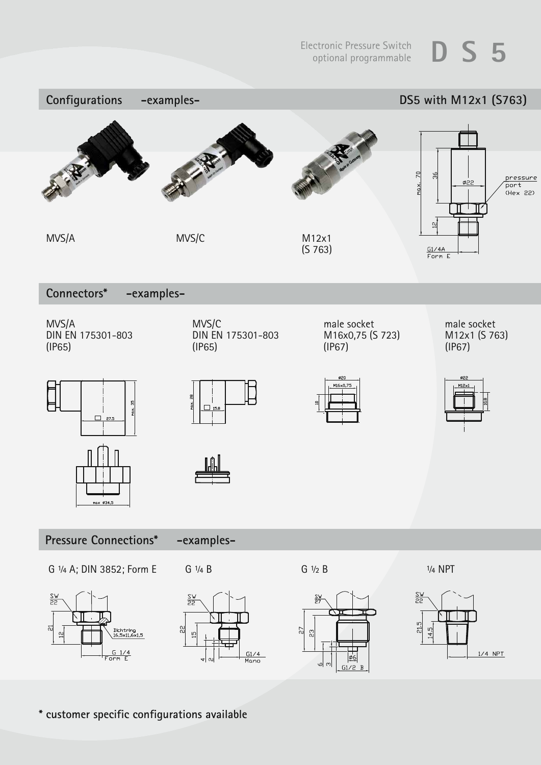

**\* customer specific configurations available**